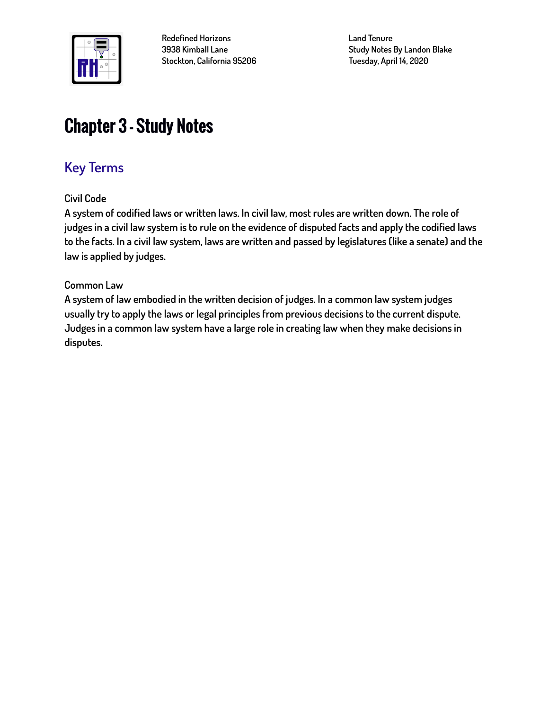

**Redefined Horizons 3938 Kimball Lane Stockton, California 95206** **Land Tenure Study Notes By Landon Blake Tuesday, April 14, 2020**

# Chapter 3 – Study Notes

# **Key Terms**

**Civil Code**

**A system of codified laws or written laws. In civil law, most rules are written down. The role of judges in a civil law system is to rule on the evidence of disputed facts and apply the codified laws to the facts. In a civil law system, laws are written and passed by legislatures (like a senate) and the law is applied by judges.**

#### **Common Law**

**A system of law embodied in the written decision of judges. In a common law system judges usually try to apply the laws or legal principles from previous decisions to the current dispute. Judges in a common law system have a large role in creating law when they make decisions in disputes.**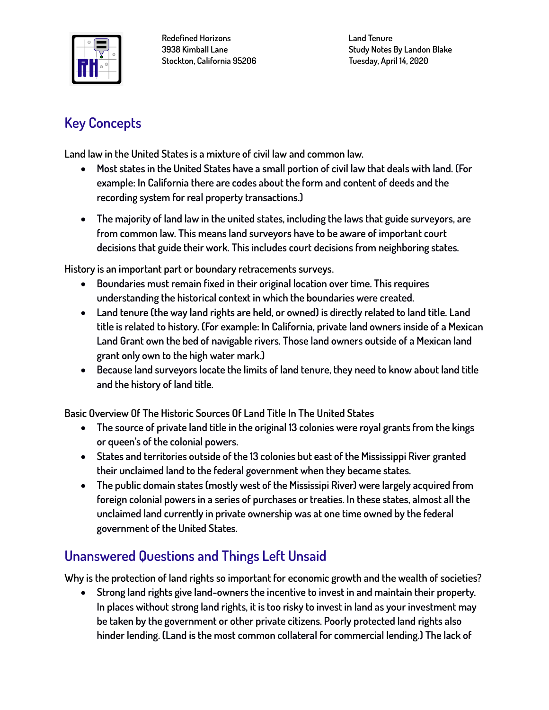

**Redefined Horizons 3938 Kimball Lane Stockton, California 95206** **Land Tenure Study Notes By Landon Blake Tuesday, April 14, 2020**

## **Key Concepts**

**Land law in the United States is a mixture of civil law and common law.**

- **Most states in the United States have a small portion of civil law that deals with land. (For example: In California there are codes about the form and content of deeds and the recording system for real property transactions.)**
- **The majority of land law in the united states, including the laws that guide surveyors, are from common law. This means land surveyors have to be aware of important court decisions that guide their work. This includes court decisions from neighboring states.**

**History is an important part or boundary retracements surveys.**

- **Boundaries must remain fixed in their original location over time. This requires understanding the historical context in which the boundaries were created.**
- **Land tenure (the way land rights are held, or owned) is directly related to land title. Land title is related to history. (For example: In California, private land owners inside of a Mexican Land Grant own the bed of navigable rivers. Those land owners outside of a Mexican land grant only own to the high water mark.)**
- **Because land surveyors locate the limits of land tenure, they need to know about land title and the history of land title.**

**Basic Overview Of The Historic Sources Of Land Title In The United States**

- **The source of private land title in the original 13 colonies were royal grants from the kings or queen's of the colonial powers.**
- **States and territories outside of the 13 colonies but east of the Mississippi River granted their unclaimed land to the federal government when they became states.**
- **The public domain states (mostly west of the Mississipi River) were largely acquired from foreign colonial powers in a series of purchases or treaties. In these states, almost all the unclaimed land currently in private ownership was at one time owned by the federal government of the United States.**

## **Unanswered Questions and Things Left Unsaid**

**Why is the protection of land rights so important for economic growth and the wealth of societies?**

• **Strong land rights give land-owners the incentive to invest in and maintain their property. In places without strong land rights, it is too risky to invest in land as your investment may be taken by the government or other private citizens. Poorly protected land rights also hinder lending. (Land is the most common collateral for commercial lending.) The lack of**